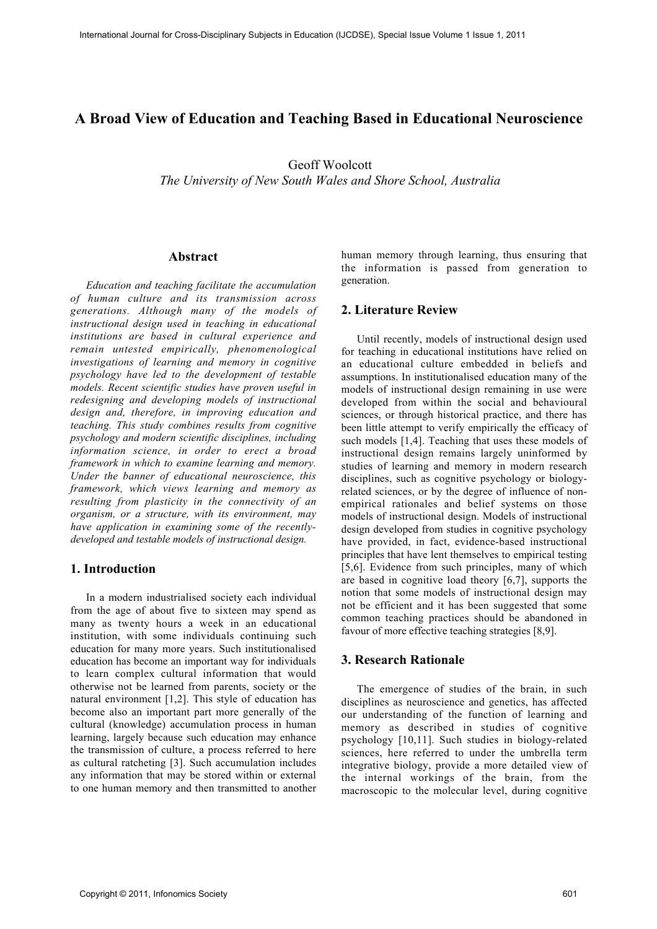# A Broad View of Education and Teaching Based in Educational Neuroscience

Geoff Woolcott

*The University of New South Wales and Shore School, Australia*

#### Abstract

*Education and teaching facilitate the accumulation of human culture and its transmission across generations. Although many of the models of instructional design used in teaching in educational institutions are based in cultural experience and remain untested empirically, phenomenological investigations of learning and memory in cognitive psychology have led to the development of testable models. Recent scientific studies have proven useful in redesigning and developing models of instructional design and, therefore, in improving education and teaching. This study combines results from cognitive psychology and modern scientific disciplines, including information science, in order to erect a broad framework in which to examine learning and memory. Under the banner of educational neuroscience, this framework, which views learning and memory as resulting from plasticity in the connectivity of an organism, or a structure, with its environment, may have application in examining some of the recentlydeveloped and testable models of instructional design.*

### 1. Introduction

In a modern industrialised society each individual from the age of about five to sixteen may spend as many as twenty hours a week in an educational institution, with some individuals continuing such education for many more years. Such institutionalised education has become an important way for individuals to learn complex cultural information that would otherwise not be learned from parents, society or the natural environment [1,2]. This style of education has become also an important part more generally of the cultural (knowledge) accumulation process in human learning, largely because such education may enhance the transmission of culture, a process referred to here as cultural ratcheting [3]. Such accumulation includes any information that may be stored within or external to one human memory and then transmitted to another

human memory through learning, thus ensuring that the information is passed from generation to generation.

#### 2. Literature Review

Until recently, models of instructional design used for teaching in educational institutions have relied on an educational culture embedded in beliefs and assumptions. In institutionalised education many of the models of instructional design remaining in use were developed from within the social and behavioural sciences, or through historical practice, and there has been little attempt to verify empirically the efficacy of such models [1,4]. Teaching that uses these models of instructional design remains largely uninformed by studies of learning and memory in modern research disciplines, such as cognitive psychology or biologyrelated sciences, or by the degree of influence of nonempirical rationales and belief systems on those models of instructional design. Models of instructional design developed from studies in cognitive psychology have provided, in fact, evidence-based instructional principles that have lent themselves to empirical testing [5,6]. Evidence from such principles, many of which are based in cognitive load theory [6,7], supports the notion that some models of instructional design may not be efficient and it has been suggested that some common teaching practices should be abandoned in favour of more effective teaching strategies [8,9].

### 3. Research Rationale

The emergence of studies of the brain, in such disciplines as neuroscience and genetics, has affected our understanding of the function of learning and memory as described in studies of cognitive psychology [10,11]. Such studies in biology-related sciences, here referred to under the umbrella term integrative biology, provide a more detailed view of the internal workings of the brain, from the macroscopic to the molecular level, during cognitive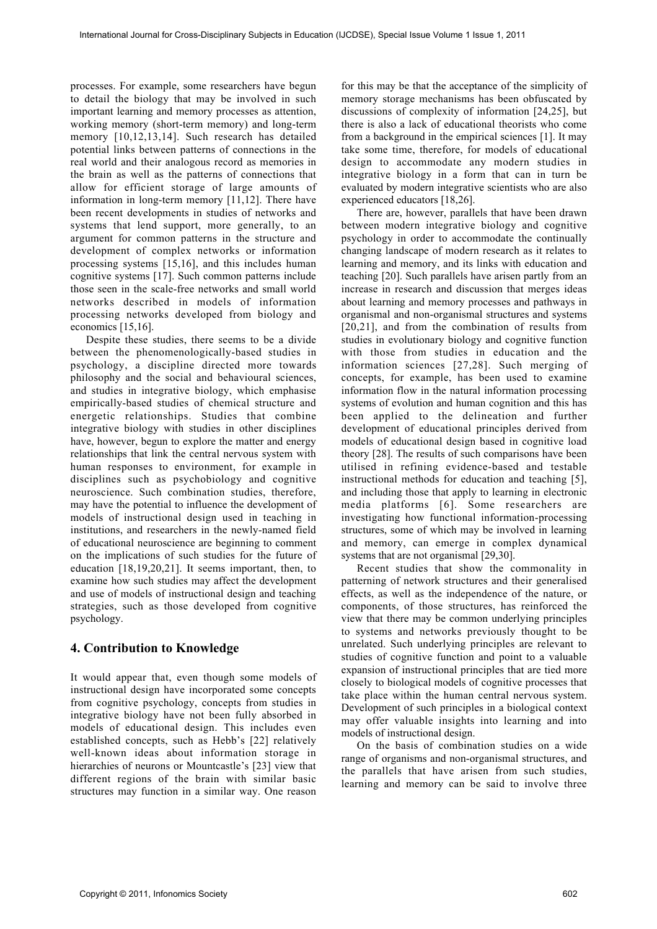processes. For example, some researchers have begun to detail the biology that may be involved in such important learning and memory processes as attention, working memory (short-term memory) and long-term memory [10,12,13,14]. Such research has detailed potential links between patterns of connections in the real world and their analogous record as memories in the brain as well as the patterns of connections that allow for efficient storage of large amounts of information in long-term memory [11,12]. There have been recent developments in studies of networks and systems that lend support, more generally, to an argument for common patterns in the structure and development of complex networks or information processing systems [15,16], and this includes human cognitive systems [17]. Such common patterns include those seen in the scale-free networks and small world networks described in models of information processing networks developed from biology and economics [15,16].

Despite these studies, there seems to be a divide between the phenomenologically-based studies in psychology, a discipline directed more towards philosophy and the social and behavioural sciences, and studies in integrative biology, which emphasise empirically-based studies of chemical structure and energetic relationships. Studies that combine integrative biology with studies in other disciplines have, however, begun to explore the matter and energy relationships that link the central nervous system with human responses to environment, for example in disciplines such as psychobiology and cognitive neuroscience. Such combination studies, therefore, may have the potential to influence the development of models of instructional design used in teaching in institutions, and researchers in the newly-named field of educational neuroscience are beginning to comment on the implications of such studies for the future of education [18,19,20,21]. It seems important, then, to examine how such studies may affect the development and use of models of instructional design and teaching strategies, such as those developed from cognitive psychology.

# 4. Contribution to Knowledge

It would appear that, even though some models of instructional design have incorporated some concepts from cognitive psychology, concepts from studies in integrative biology have not been fully absorbed in models of educational design. This includes even established concepts, such as Hebb's [22] relatively well-known ideas about information storage in hierarchies of neurons or Mountcastle's [23] view that different regions of the brain with similar basic structures may function in a similar way. One reason

for this may be that the acceptance of the simplicity of memory storage mechanisms has been obfuscated by discussions of complexity of information [24,25], but there is also a lack of educational theorists who come from a background in the empirical sciences [1]. It may take some time, therefore, for models of educational design to accommodate any modern studies in integrative biology in a form that can in turn be evaluated by modern integrative scientists who are also experienced educators [18,26].

There are, however, parallels that have been drawn between modern integrative biology and cognitive psychology in order to accommodate the continually changing landscape of modern research as it relates to learning and memory, and its links with education and teaching [20]. Such parallels have arisen partly from an increase in research and discussion that merges ideas about learning and memory processes and pathways in organismal and non-organismal structures and systems [20,21], and from the combination of results from studies in evolutionary biology and cognitive function with those from studies in education and the information sciences [27,28]. Such merging of concepts, for example, has been used to examine information flow in the natural information processing systems of evolution and human cognition and this has been applied to the delineation and further development of educational principles derived from models of educational design based in cognitive load theory [28]. The results of such comparisons have been utilised in refining evidence-based and testable instructional methods for education and teaching [5], and including those that apply to learning in electronic media platforms [6]. Some researchers are investigating how functional information-processing structures, some of which may be involved in learning and memory, can emerge in complex dynamical systems that are not organismal [29,30].

Recent studies that show the commonality in patterning of network structures and their generalised effects, as well as the independence of the nature, or components, of those structures, has reinforced the view that there may be common underlying principles to systems and networks previously thought to be unrelated. Such underlying principles are relevant to studies of cognitive function and point to a valuable expansion of instructional principles that are tied more closely to biological models of cognitive processes that take place within the human central nervous system. Development of such principles in a biological context may offer valuable insights into learning and into models of instructional design.

On the basis of combination studies on a wide range of organisms and non-organismal structures, and the parallels that have arisen from such studies, learning and memory can be said to involve three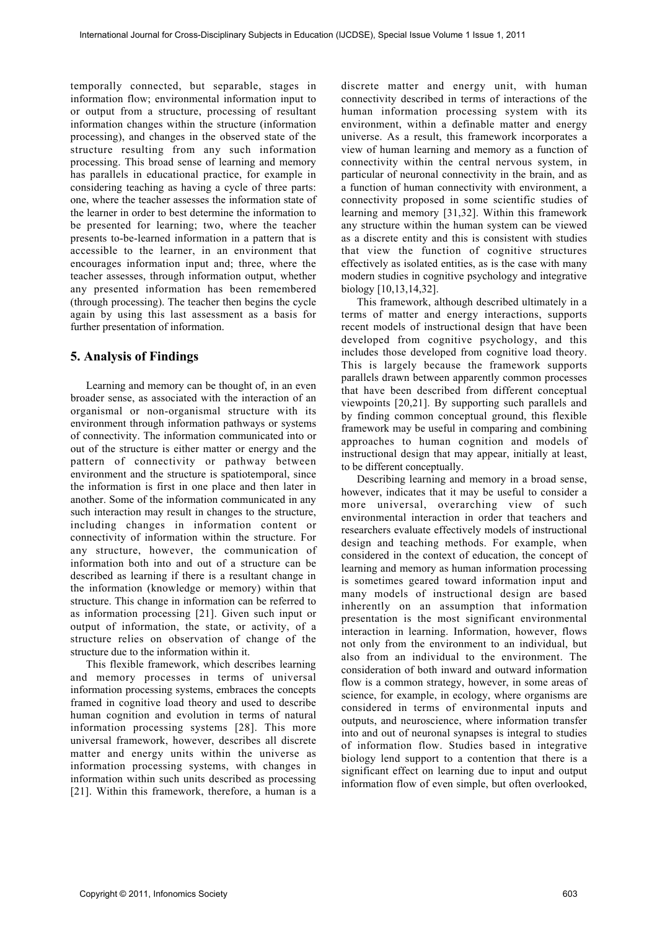temporally connected, but separable, stages in information flow; environmental information input to or output from a structure, processing of resultant information changes within the structure (information processing), and changes in the observed state of the structure resulting from any such information processing. This broad sense of learning and memory has parallels in educational practice, for example in considering teaching as having a cycle of three parts: one, where the teacher assesses the information state of the learner in order to best determine the information to be presented for learning; two, where the teacher presents to-be-learned information in a pattern that is accessible to the learner, in an environment that encourages information input and; three, where the teacher assesses, through information output, whether any presented information has been remembered (through processing). The teacher then begins the cycle again by using this last assessment as a basis for further presentation of information.

## 5. Analysis of Findings

Learning and memory can be thought of, in an even broader sense, as associated with the interaction of an organismal or non-organismal structure with its environment through information pathways or systems of connectivity. The information communicated into or out of the structure is either matter or energy and the pattern of connectivity or pathway between environment and the structure is spatiotemporal, since the information is first in one place and then later in another. Some of the information communicated in any such interaction may result in changes to the structure, including changes in information content or connectivity of information within the structure. For any structure, however, the communication of information both into and out of a structure can be described as learning if there is a resultant change in the information (knowledge or memory) within that structure. This change in information can be referred to as information processing [21]. Given such input or output of information, the state, or activity, of a structure relies on observation of change of the structure due to the information within it.

This flexible framework, which describes learning and memory processes in terms of universal information processing systems, embraces the concepts framed in cognitive load theory and used to describe human cognition and evolution in terms of natural information processing systems [28]. This more universal framework, however, describes all discrete matter and energy units within the universe as information processing systems, with changes in information within such units described as processing [21]. Within this framework, therefore, a human is a

discrete matter and energy unit, with human connectivity described in terms of interactions of the human information processing system with its environment, within a definable matter and energy universe. As a result, this framework incorporates a view of human learning and memory as a function of connectivity within the central nervous system, in particular of neuronal connectivity in the brain, and as a function of human connectivity with environment, a connectivity proposed in some scientific studies of learning and memory [31,32]. Within this framework any structure within the human system can be viewed as a discrete entity and this is consistent with studies that view the function of cognitive structures effectively as isolated entities, as is the case with many modern studies in cognitive psychology and integrative biology [10,13,14,32].

This framework, although described ultimately in a terms of matter and energy interactions, supports recent models of instructional design that have been developed from cognitive psychology, and this includes those developed from cognitive load theory. This is largely because the framework supports parallels drawn between apparently common processes that have been described from different conceptual viewpoints [20,21]. By supporting such parallels and by finding common conceptual ground, this flexible framework may be useful in comparing and combining approaches to human cognition and models of instructional design that may appear, initially at least, to be different conceptually.

Describing learning and memory in a broad sense, however, indicates that it may be useful to consider a more universal, overarching view of such environmental interaction in order that teachers and researchers evaluate effectively models of instructional design and teaching methods. For example, when considered in the context of education, the concept of learning and memory as human information processing is sometimes geared toward information input and many models of instructional design are based inherently on an assumption that information presentation is the most significant environmental interaction in learning. Information, however, flows not only from the environment to an individual, but also from an individual to the environment. The consideration of both inward and outward information flow is a common strategy, however, in some areas of science, for example, in ecology, where organisms are considered in terms of environmental inputs and outputs, and neuroscience, where information transfer into and out of neuronal synapses is integral to studies of information flow. Studies based in integrative biology lend support to a contention that there is a significant effect on learning due to input and output information flow of even simple, but often overlooked,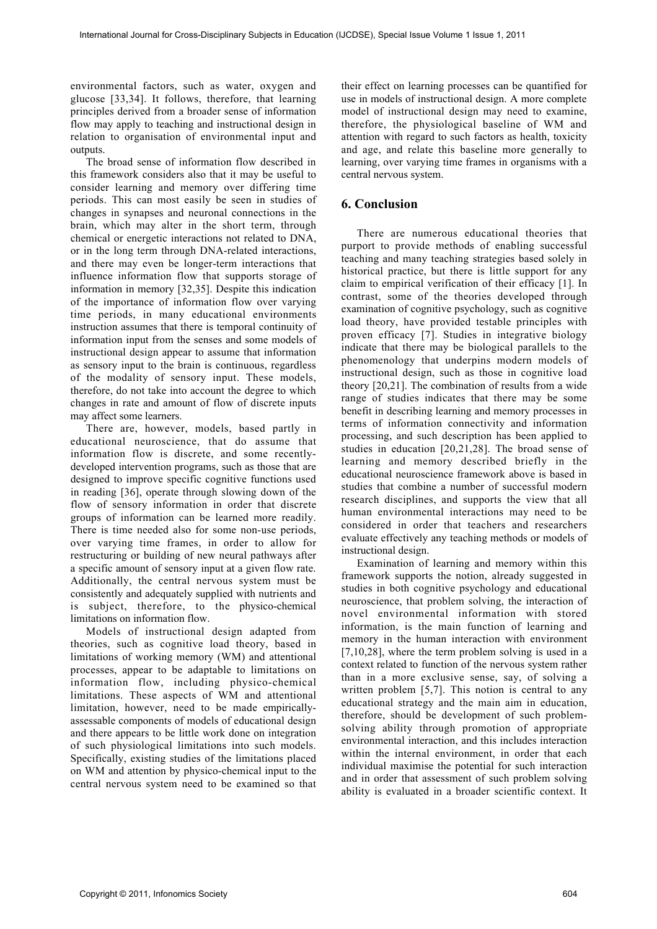environmental factors, such as water, oxygen and glucose [33,34]. It follows, therefore, that learning principles derived from a broader sense of information flow may apply to teaching and instructional design in relation to organisation of environmental input and outputs.

The broad sense of information flow described in this framework considers also that it may be useful to consider learning and memory over differing time periods. This can most easily be seen in studies of changes in synapses and neuronal connections in the brain, which may alter in the short term, through chemical or energetic interactions not related to DNA, or in the long term through DNA-related interactions, and there may even be longer-term interactions that influence information flow that supports storage of information in memory [32,35]. Despite this indication of the importance of information flow over varying time periods, in many educational environments instruction assumes that there is temporal continuity of information input from the senses and some models of instructional design appear to assume that information as sensory input to the brain is continuous, regardless of the modality of sensory input. These models, therefore, do not take into account the degree to which changes in rate and amount of flow of discrete inputs may affect some learners.

There are, however, models, based partly in educational neuroscience, that do assume that information flow is discrete, and some recentlydeveloped intervention programs, such as those that are designed to improve specific cognitive functions used in reading [36], operate through slowing down of the flow of sensory information in order that discrete groups of information can be learned more readily. There is time needed also for some non-use periods, over varying time frames, in order to allow for restructuring or building of new neural pathways after a specific amount of sensory input at a given flow rate. Additionally, the central nervous system must be consistently and adequately supplied with nutrients and is subject, therefore, to the physico-chemical limitations on information flow.

Models of instructional design adapted from theories, such as cognitive load theory, based in limitations of working memory (WM) and attentional processes, appear to be adaptable to limitations on information flow, including physico-chemical limitations. These aspects of WM and attentional limitation, however, need to be made empiricallyassessable components of models of educational design and there appears to be little work done on integration of such physiological limitations into such models. Specifically, existing studies of the limitations placed on WM and attention by physico-chemical input to the central nervous system need to be examined so that

their effect on learning processes can be quantified for use in models of instructional design. A more complete model of instructional design may need to examine, therefore, the physiological baseline of WM and attention with regard to such factors as health, toxicity and age, and relate this baseline more generally to learning, over varying time frames in organisms with a central nervous system.

## 6. Conclusion

There are numerous educational theories that purport to provide methods of enabling successful teaching and many teaching strategies based solely in historical practice, but there is little support for any claim to empirical verification of their efficacy [1]. In contrast, some of the theories developed through examination of cognitive psychology, such as cognitive load theory, have provided testable principles with proven efficacy [7]. Studies in integrative biology indicate that there may be biological parallels to the phenomenology that underpins modern models of instructional design, such as those in cognitive load theory [20,21]. The combination of results from a wide range of studies indicates that there may be some benefit in describing learning and memory processes in terms of information connectivity and information processing, and such description has been applied to studies in education [20,21,28]. The broad sense of learning and memory described briefly in the educational neuroscience framework above is based in studies that combine a number of successful modern research disciplines, and supports the view that all human environmental interactions may need to be considered in order that teachers and researchers evaluate effectively any teaching methods or models of instructional design.

Examination of learning and memory within this framework supports the notion, already suggested in studies in both cognitive psychology and educational neuroscience, that problem solving, the interaction of novel environmental information with stored information, is the main function of learning and memory in the human interaction with environment [7,10,28], where the term problem solving is used in a context related to function of the nervous system rather than in a more exclusive sense, say, of solving a written problem [5,7]. This notion is central to any educational strategy and the main aim in education, therefore, should be development of such problemsolving ability through promotion of appropriate environmental interaction, and this includes interaction within the internal environment, in order that each individual maximise the potential for such interaction and in order that assessment of such problem solving ability is evaluated in a broader scientific context. It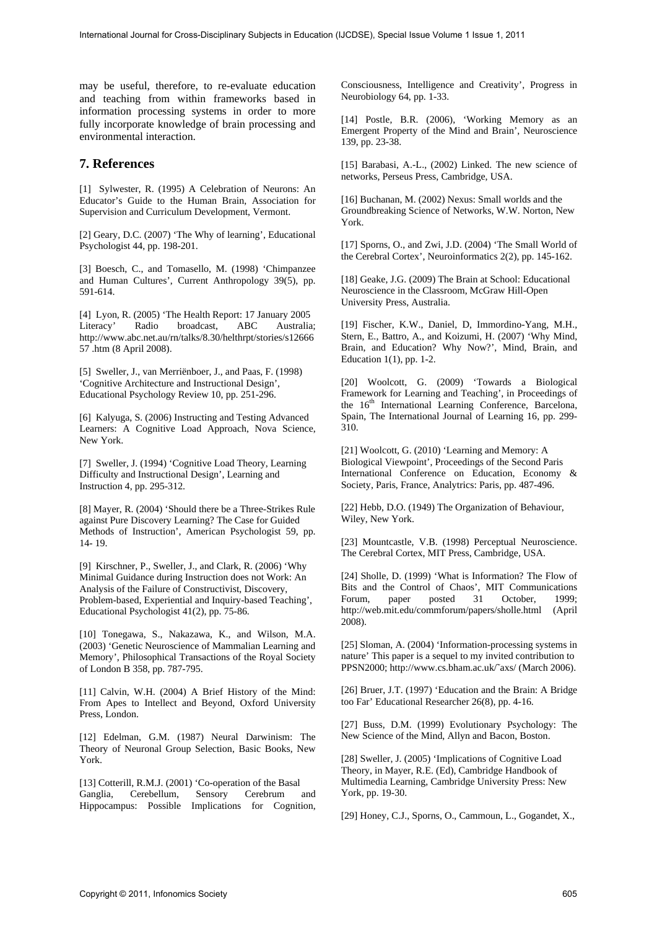may be useful, therefore, to re-evaluate education and teaching from within frameworks based in information processing systems in order to more fully incorporate knowledge of brain processing and environmental interaction.

#### **7. References**

[1] Sylwester, R. (1995) A Celebration of Neurons: An Educator's Guide to the Human Brain, Association for Supervision and Curriculum Development, Vermont.

[2] Geary, D.C. (2007) 'The Why of learning', Educational Psychologist 44, pp. 198-201.

[3] Boesch, C., and Tomasello, M. (1998) 'Chimpanzee and Human Cultures', Current Anthropology 39(5), pp. 591-614.

[4] Lyon, R. (2005) 'The Health Report: 17 January 2005 Literacy' Radio broadcast, ABC Australia; http://www.abc.net.au/rn/talks/8.30/helthrpt/stories/s12666 57 .htm (8 April 2008).

[5] Sweller, J., van Merriënboer, J., and Paas, F. (1998) 'Cognitive Architecture and Instructional Design', Educational Psychology Review 10, pp. 251-296.

[6] Kalyuga, S. (2006) Instructing and Testing Advanced Learners: A Cognitive Load Approach, Nova Science, New York.

[7] Sweller, J. (1994) 'Cognitive Load Theory, Learning Difficulty and Instructional Design', Learning and Instruction 4, pp. 295-312.

[8] Mayer, R. (2004) 'Should there be a Three-Strikes Rule against Pure Discovery Learning? The Case for Guided Methods of Instruction', American Psychologist 59, pp. 14- 19.

[9] Kirschner, P., Sweller, J., and Clark, R. (2006) 'Why Minimal Guidance during Instruction does not Work: An Analysis of the Failure of Constructivist, Discovery, Problem-based, Experiential and Inquiry-based Teaching', Educational Psychologist 41(2), pp. 75-86.

[10] Tonegawa, S., Nakazawa, K., and Wilson, M.A. (2003) 'Genetic Neuroscience of Mammalian Learning and Memory', Philosophical Transactions of the Royal Society of London B 358, pp. 787-795.

[11] Calvin, W.H. (2004) A Brief History of the Mind: From Apes to Intellect and Beyond, Oxford University Press, London.

[12] Edelman, G.M. (1987) Neural Darwinism: The Theory of Neuronal Group Selection, Basic Books, New York.

[13] Cotterill, R.M.J. (2001) 'Co-operation of the Basal Ganglia, Cerebellum, Sensory Cerebrum and Hippocampus: Possible Implications for Cognition,

Consciousness, Intelligence and Creativity', Progress in Neurobiology 64, pp. 1-33.

[14] Postle, B.R. (2006), 'Working Memory as an Emergent Property of the Mind and Brain', Neuroscience 139, pp. 23-38.

[15] Barabasi, A.-L., (2002) Linked. The new science of networks, Perseus Press, Cambridge, USA.

[16] Buchanan, M. (2002) Nexus: Small worlds and the Groundbreaking Science of Networks, W.W. Norton, New York.

[17] Sporns, O., and Zwi, J.D. (2004) 'The Small World of the Cerebral Cortex', Neuroinformatics 2(2), pp. 145-162.

[18] Geake, J.G. (2009) The Brain at School: Educational Neuroscience in the Classroom, McGraw Hill-Open University Press, Australia.

[19] Fischer, K.W., Daniel, D, Immordino-Yang, M.H., Stern, E., Battro, A., and Koizumi, H. (2007) 'Why Mind, Brain, and Education? Why Now?', Mind, Brain, and Education 1(1), pp. 1-2.

[20] Woolcott, G. (2009) 'Towards a Biological Framework for Learning and Teaching', in Proceedings of the 16<sup>th</sup> International Learning Conference, Barcelona, Spain, The International Journal of Learning 16, pp. 299- 310.

[21] Woolcott, G. (2010) 'Learning and Memory: A Biological Viewpoint', Proceedings of the Second Paris International Conference on Education, Economy & Society, Paris, France, Analytrics: Paris, pp. 487-496.

[22] Hebb, D.O. (1949) The Organization of Behaviour, Wiley, New York.

[23] Mountcastle, V.B. (1998) Perceptual Neuroscience. The Cerebral Cortex, MIT Press, Cambridge, USA.

[24] Sholle, D. (1999) 'What is Information? The Flow of Bits and the Control of Chaos', MIT Communications Forum, paper posted 31 October, 1999; http://web.mit.edu/commforum/papers/sholle.html (April 2008).

[25] Sloman, A. (2004) 'Information-processing systems in nature' This paper is a sequel to my invited contribution to PPSN2000; http://www.cs.bham.ac.uk/˜axs/ (March 2006).

[26] Bruer, J.T. (1997) 'Education and the Brain: A Bridge too Far' Educational Researcher 26(8), pp. 4-16.

[27] Buss, D.M. (1999) Evolutionary Psychology: The New Science of the Mind, Allyn and Bacon, Boston.

[28] Sweller, J. (2005) 'Implications of Cognitive Load Theory, in Mayer, R.E. (Ed), Cambridge Handbook of Multimedia Learning, Cambridge University Press: New York, pp. 19-30.

[29] Honey, C.J., Sporns, O., Cammoun, L., Gogandet, X.,